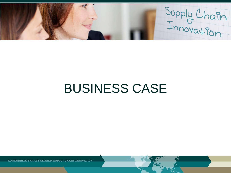Supply Chain

# BUSINESS CASE

KONKURRENCEKRAFT GENNEM SUPPLY CHAIN INNOVATION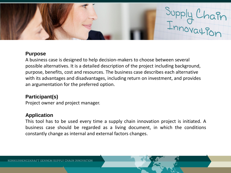

#### **Purpose**

A business case is designed to help decision-makers to choose between several possible alternatives. It is a detailed description of the project including background, purpose, benefits, cost and resources. The business case describes each alternative with its advantages and disadvantages, including return on investment, and provides an argumentation for the preferred option.

## **Participant(s)**

Project owner and project manager.

#### **Application**

This tool has to be used every time a supply chain innovation project is initiated. A business case should be regarded as a living document, in which the conditions constantly change as internal and external factors changes.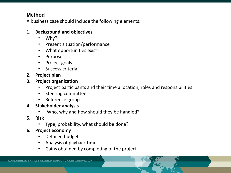## **Method**

A business case should include the following elements:

## **1. Background and objectives**

- Why?
- Present situation/performance
- What opportunities exist?
- Purpose
- Project goals
- Success criteria
- **2. Project plan**
- **3. Project organization** 
	- Project participants and their time allocation, roles and responsibilities
	- Steering committee
	- Reference group
- **4. Stakeholder analysis**
	- Who, why and how should they be handled?
- **5. Risk**
	- Type, probability, what should be done?
- **6. Project economy**
	- Detailed budget
	- Analysis of payback time
	- Gains obtained by completing of the project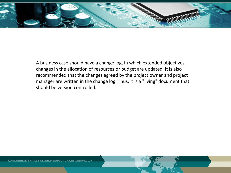

A business case should have a change log, in which extended objectives, changes in the allocation of resources or budget are updated. It is also recommended that the changes agreed by the project owner and project manager are written in the change log. Thus, it is a "living" document that should be version controlled.